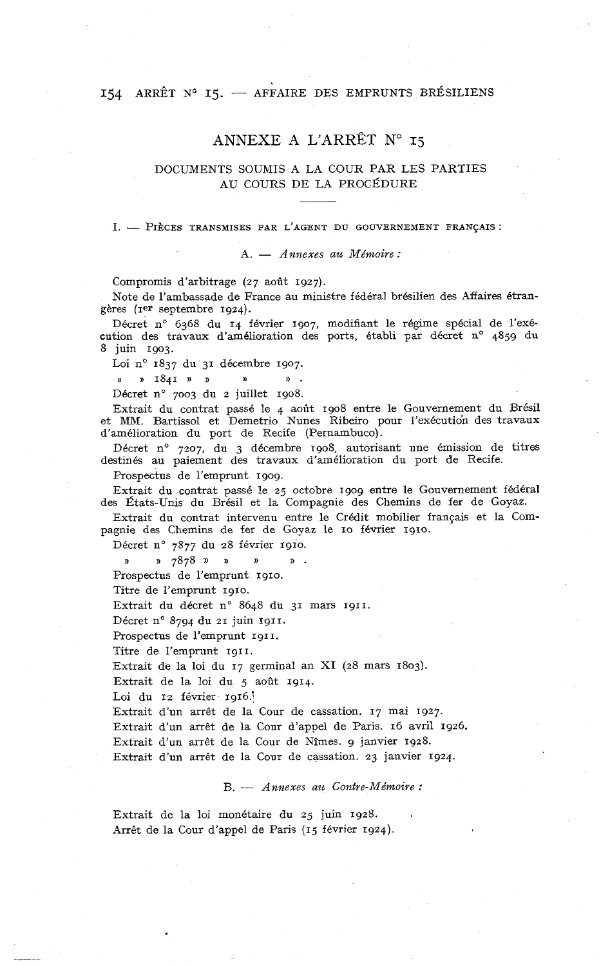#### 154 ARRÊT N° 15. - AFFAIRE DES EMPRUNTS BRÉSILIENS

#### ANNEXE A L'ARRÊT No **15**

#### DOCUMENTS SOUMIS A LA COUR PAR LES PARTIES AU COURS DE LA PROCÉDURE

# I. - PIECES TRANSMISES PAR L'AGENT DU GOUVERNEMENT FRANÇAIS :<br>A. - *Annexes au Mémoire* :

Compromis d'arbitrage (27 août 1927).

Note de l'ambassade de France au ministre fédéral brésilien des Affaires étrangères (rer septembre 1924).

Décret n° 6368 du 14 février 1907, modifiant le régime spécial de l'exécution des travaux d'amélioration des ports, établi par décret n° 4859 du 8 juin 1903.

Loi n° 1837 du 31 décembre 1907.

**1841 1911 1921 1921 1921** 

Décret n° 7003 du 2 juillet 1908.

Extrait du contrat passé le 4 août 1908 entre le Gouvernement du Brésil et MM. Bartissol et Demetrio Nunes Ribeiro pour l'exécution des travaux d'amélioration du port de Recife (Pernambuco).

Décret n° 7207, du 3 décembre 1908, autorisant une émission de titres destinés au paiement des travaux d'amélioration du port de Recife.

Prospectus de l'emprunt 1909.

Extrait du contrat passé le 25 octobre 1909 entre le Gouvernement fédéral des États-Unis du Brésil et la Compagnie des Chemins de fer de Goyaz.

Extrait du contrat intervenu entre le Crédit mobilier français et la Compagnie des Chemins de fer de Goyaz le IO février 1910.

Décret n° 7877 du 28 février 1910.

>) » 7878)) n **s** ))

Prospectus de l'emprunt 1910.

Titre de l'emprunt 1910.

Extrait du décret n° 8648 du 31 mars 1911.

Décret n° 8794 du 21 juin 1911.

Prospectus de l'emprunt 1911.

Titre de l'emprunt 1911.

Extrait de la loi du 17 germinal an XI (28 mars 1803).

Extrait de la loi du 5 août 1914

Loi du 12 février 1916.

Extrait d'un arrêt de la Cour de cassation. 17 mai 1927.

Extrait d'un arrêt de la Cour d'appel de Paris. 16 avril 1926.

Extrait d'un arrêt de la Cour de Nîmes. g janvier 1928.

Extrait d'un arrêt de la Cour de cassation. **23** janvier 1924.

B. - *Annexes au Contre-Mémoire* :

Extrait de la loi monétaire du 25 juin 1928. Arrêt de la Cour d'appel de Paris (15 février 1924).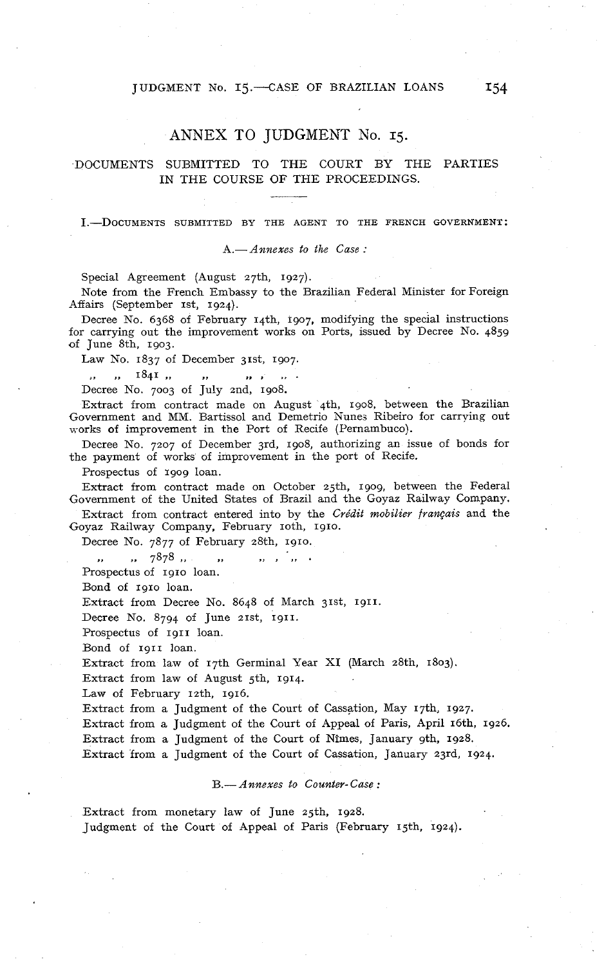#### JUDGMENT No. 15. CASE OF BRAZILIAN LOANS 154

#### ANNEX TO JUDGMENT No. 15.

#### DOCUMENTS SUBMITTED TO THE COURT BY THE PARTIES IN THE COURSE OF THE PROCEEDINGS.

#### I.-DOCUMENTS SUBMITTED BY THE AGENT TO THE FRENCH GOVERNMENT:

#### A.- *Annexes to the Case* :

Special Agreement (August 27th, 1927).

Note from the French Embassy to the Brazilian Federal Minister for Foreign Affairs (September 1st, 1924).

Decree No. 6368 of February rqth, 1907, modifying the special instructions for carrying out the improvement works on Ports, issued by Decree No. 4859 of June 8th, 1903.

Law No. 1837 of December 31st, 1907.

,, ,, 1841 ,, ,, ,, ,, ,, ,,<br>Decree No. 7003 of July 2nd, 1908.

Extract from contract made on August 4th, 1908, between the Brazilian Government and MM. Bartissol and Demetrio Nunes Ribeiro for carrving out works of improvement in the Port of Recife (Pernambuco).

Decree No. 7207 of December 3rd, 1908, authorizing an issue of bonds for the payment of works of improvement in the port of Recife.

Prospectus of 1909 loan.

Extract from contract made on October 25th, 1909, between the Federal Government of the United States of Brazil and the Goyaz Railway Company.

Extract from contract entered into by the *Crédit mobilier jrançais* and the Goyaz Railway Company, February roth, 1910.

Decree No. 7877 of February 28th, 1910.

,. .. 7878 ,, >> **I 3,** . Prospectus of 1910 loan.

Bond of 1910 loan.

Extract from Decree No. 8648 of March 31st, 1911.

Decree No. 8794 of June zrst, 1911.

Prospectus of 1911 loan.

Bond of 1911 loan.

Extract from law of 17th Germinal Year XI (March 28th, 1803).

Extract from law of August gth, 1914.

Law of February 12th. 1916.

Extract from a Judgment of the Court of Cassation, May 17th, 1927.

Extract from a Judgment of the Court of Appeal of Paris, April 16th. 1926.

Extract from a Judgment of the Court of Nîmes, January 9th. 1928.

Extract from a Judgment of the Court of Cassation, January 23rd, 1924.

#### B.- *Annexes to Counter- Case* :

Extract from monetary law of June 25th, 1928. Judgment of the Court of Appeal of Paris (February 15th, 1924).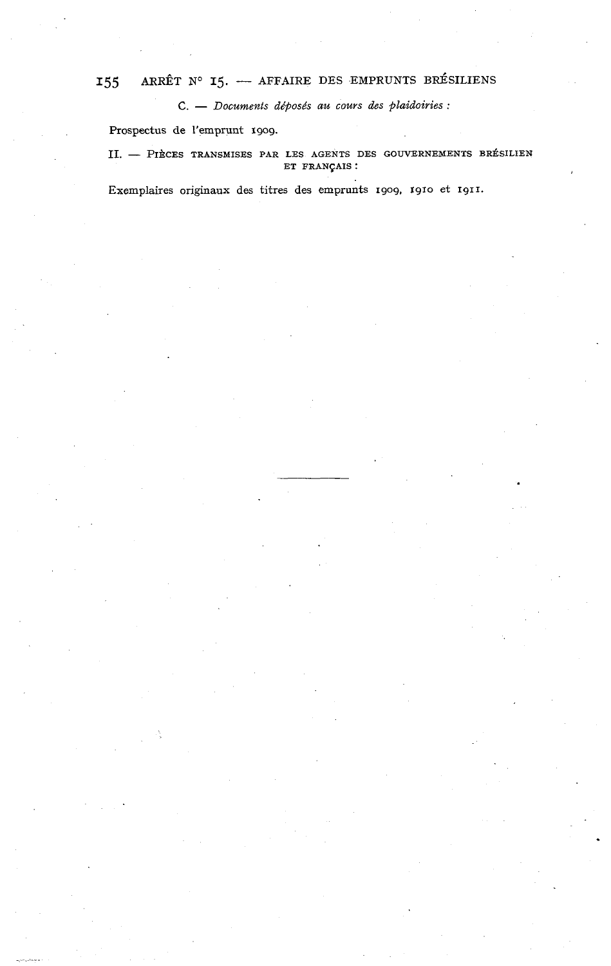## **<sup>155</sup>ARRÊT No 15.** - **AFFAIRE DES EMPRUNTS BRÉSILIENS**

*C.* - *Documents déposbs au cours des plaidoiries* :

Prospectus de l'emprunt 1909.

II. - PIÈCES TRANSMISES PAR LES AGENTS DES GOUVERNEMENTS BRÉSILIEN **ET FRANÇAIS** :

**Exemplaires originaux des titres des emprunts 1909, 1910 et 1911.**